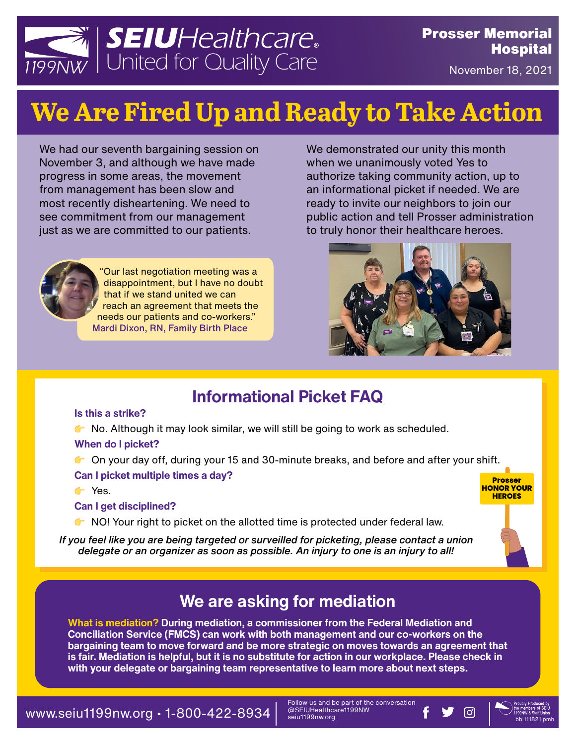

November 18, 2021

**Prosser HONOR YOUR HEROES**

# **We Are Fired Up and Ready to Take Action**

We had our seventh bargaining session on November 3, and although we have made progress in some areas, the movement from management has been slow and most recently disheartening. We need to see commitment from our management just as we are committed to our patients.



"Our last negotiation meeting was a disappointment, but I have no doubt that if we stand united we can reach an agreement that meets the needs our patients and co-workers." Mardi Dixon, RN, Family Birth Place

We demonstrated our unity this month when we unanimously voted Yes to authorize taking community action, up to an informational picket if needed. We are ready to invite our neighbors to join our public action and tell Prosser administration to truly honor their healthcare heroes.



### **Informational Picket FAQ**

#### **Is this a strike?**

No. Although it may look similar, we will still be going to work as scheduled.

#### **When do I picket?**

**C** On your day off, during your 15 and 30-minute breaks, and before and after your shift.

#### **Can I picket multiple times a day?**

**T** Yes.

#### **Can I get disciplined?**

 $\bullet$  NO! Your right to picket on the allotted time is protected under federal law.

*If you feel like you are being targeted or surveilled for picketing, please contact a union delegate or an organizer as soon as possible. An injury to one is an injury to all!*



**What is mediation? During mediation, a commissioner from the Federal Mediation and Conciliation Service (FMCS) can work with both management and our co-workers on the bargaining team to move forward and be more strategic on moves towards an agreement that is fair. Mediation is helpful, but it is no substitute for action in our workplace. Please check in with your delegate or bargaining team representative to learn more about next steps.**

 $\textbf{www.seiu1199n}$   $\textbf{www.seiu1199n}$   $\textbf{www.saeiu}$   $\textbf{two}$  be part of the conversation  $\textbf{f}$   $\textbf{y}$   $\textbf{0}$   $\textbf{0}$   $\textbf{0}$   $\textbf{0}$   $\textbf{0}$   $\textbf{0}$   $\textbf{0}$   $\textbf{0}$   $\textbf{0}$   $\textbf{0}$   $\textbf{0}$   $\textbf{0}$   $\textbf{0}$   $\text$ 

Follow us and be part of the conversation @SEIUHealthcare1199NW seiu1199nw.org

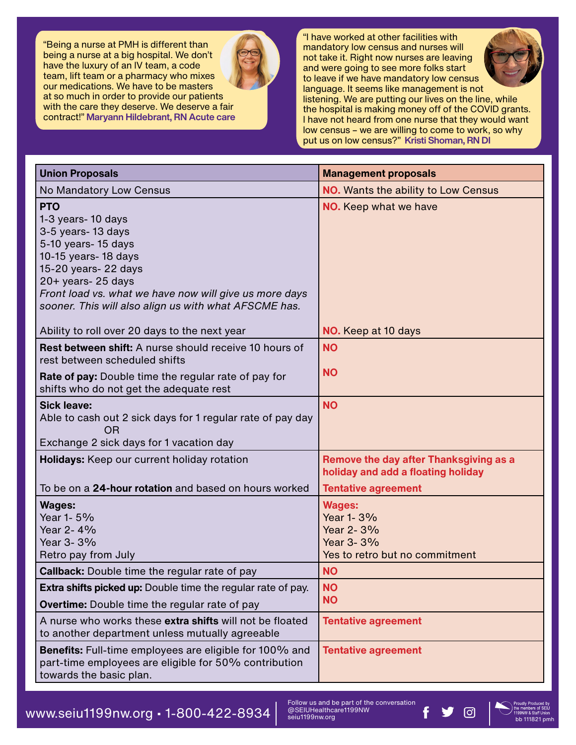"Being a nurse at PMH is different than being a nurse at a big hospital. We don't have the luxury of an IV team, a code team, lift team or a pharmacy who mixes our medications. We have to be masters at so much in order to provide our patients with the care they deserve. We deserve a fair contract!" Maryann Hildebrant, RN Acute care



"I have worked at other facilities with mandatory low census and nurses will not take it. Right now nurses are leaving and were going to see more folks start to leave if we have mandatory low census language. It seems like management is not



listening. We are putting our lives on the line, while the hospital is making money off of the COVID grants. I have not heard from one nurse that they would want low census – we are willing to come to work, so why put us on low census?" Kristi Shoman, RN DI

| <b>Union Proposals</b>                                                                                                                                                                                                                                                 | <b>Management proposals</b>                                                                                |
|------------------------------------------------------------------------------------------------------------------------------------------------------------------------------------------------------------------------------------------------------------------------|------------------------------------------------------------------------------------------------------------|
| No Mandatory Low Census                                                                                                                                                                                                                                                | <b>NO.</b> Wants the ability to Low Census                                                                 |
| <b>PTO</b><br>1-3 years- 10 days<br>3-5 years- 13 days<br>5-10 years- 15 days<br>10-15 years- 18 days<br>15-20 years- 22 days<br>20+ years- 25 days<br>Front load vs. what we have now will give us more days<br>sooner. This will also align us with what AFSCME has. | <b>NO.</b> Keep what we have                                                                               |
| Ability to roll over 20 days to the next year                                                                                                                                                                                                                          | NO. Keep at 10 days                                                                                        |
| <b>Rest between shift:</b> A nurse should receive 10 hours of<br>rest between scheduled shifts<br>Rate of pay: Double time the regular rate of pay for<br>shifts who do not get the adequate rest                                                                      | <b>NO</b><br><b>NO</b>                                                                                     |
| <b>Sick leave:</b><br>Able to cash out 2 sick days for 1 regular rate of pay day<br>0 <sub>R</sub><br>Exchange 2 sick days for 1 vacation day                                                                                                                          | <b>NO</b>                                                                                                  |
| Holidays: Keep our current holiday rotation<br>To be on a 24-hour rotation and based on hours worked                                                                                                                                                                   | Remove the day after Thanksgiving as a<br>holiday and add a floating holiday<br><b>Tentative agreement</b> |
| <b>Wages:</b><br>Year 1-5%<br>Year 2-4%<br>Year 3-3%<br>Retro pay from July                                                                                                                                                                                            | <b>Wages:</b><br>Year 1-3%<br>Year 2-3%<br>Year 3-3%<br>Yes to retro but no commitment                     |
| <b>Callback:</b> Double time the regular rate of pay                                                                                                                                                                                                                   | <b>NO</b>                                                                                                  |
| Extra shifts picked up: Double time the regular rate of pay.<br>Overtime: Double time the regular rate of pay                                                                                                                                                          | <b>NO</b><br><b>NO</b>                                                                                     |
| A nurse who works these extra shifts will not be floated<br>to another department unless mutually agreeable                                                                                                                                                            | <b>Tentative agreement</b>                                                                                 |
| Benefits: Full-time employees are eligible for 100% and<br>part-time employees are eligible for 50% contribution<br>towards the basic plan.                                                                                                                            | <b>Tentative agreement</b>                                                                                 |

WWW.Seiu1199nw.org • 1-800-422-8934  $\parallel$   $\frac{F}{\text{SSEIUPlealthcar}^{E}\text{OII}}$  bolight and be part of the conversation<br>bb 111821 pmh

Follow us and be part of the conversation @SEIUHealthcare1199NW seiu1199nw.org